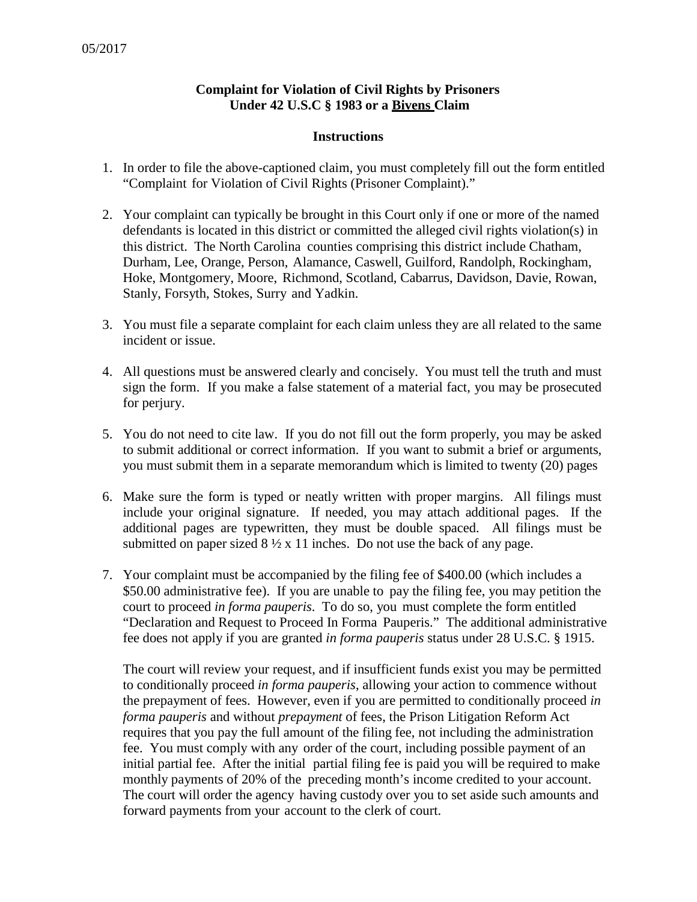## **Complaint for Violation of Civil Rights by Prisoners Under 42 U.S.C § 1983 or a Bivens Claim**

## **Instructions**

- 1. In order to file the above-captioned claim, you must completely fill out the form entitled "Complaint for Violation of Civil Rights (Prisoner Complaint)."
- 2. Your complaint can typically be brought in this Court only if one or more of the named defendants is located in this district or committed the alleged civil rights violation(s) in this district. The North Carolina counties comprising this district include Chatham, Durham, Lee, Orange, Person, Alamance, Caswell, Guilford, Randolph, Rockingham, Hoke, Montgomery, Moore, Richmond, Scotland, Cabarrus, Davidson, Davie, Rowan, Stanly, Forsyth, Stokes, Surry and Yadkin.
- 3. You must file a separate complaint for each claim unless they are all related to the same incident or issue.
- 4. All questions must be answered clearly and concisely. You must tell the truth and must sign the form. If you make a false statement of a material fact, you may be prosecuted for perjury.
- 5. You do not need to cite law. If you do not fill out the form properly, you may be asked to submit additional or correct information. If you want to submit a brief or arguments, you must submit them in a separate memorandum which is limited to twenty (20) pages
- 6. Make sure the form is typed or neatly written with proper margins. All filings must include your original signature. If needed, you may attach additional pages. If the additional pages are typewritten, they must be double spaced. All filings must be submitted on paper sized  $8\frac{1}{2} \times 11$  inches. Do not use the back of any page.
- 7. Your complaint must be accompanied by the filing fee of \$400.00 (which includes a \$50.00 administrative fee). If you are unable to pay the filing fee, you may petition the court to proceed *in forma pauperis*. To do so, you must complete the form entitled "Declaration and Request to Proceed In Forma Pauperis." The additional administrative fee does not apply if you are granted *in forma pauperis* status under 28 U.S.C. § 1915.

The court will review your request, and if insufficient funds exist you may be permitted to conditionally proceed *in forma pauperis*, allowing your action to commence without the prepayment of fees. However, even if you are permitted to conditionally proceed *in forma pauperis* and without *prepayment* of fees, the Prison Litigation Reform Act requires that you pay the full amount of the filing fee, not including the administration fee. You must comply with any order of the court, including possible payment of an initial partial fee. After the initial partial filing fee is paid you will be required to make monthly payments of 20% of the preceding month's income credited to your account. The court will order the agency having custody over you to set aside such amounts and forward payments from your account to the clerk of court.